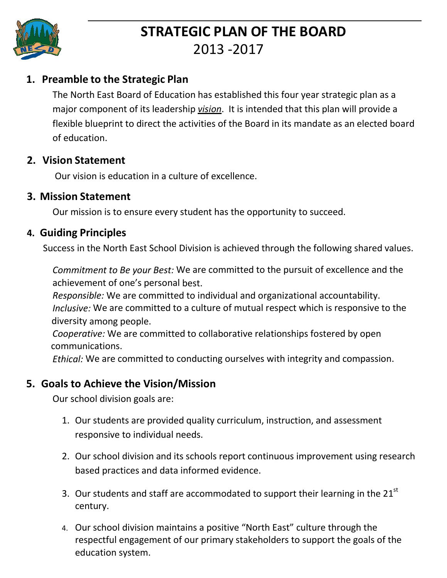

# **STRATEGIC PLAN OF THE BOARD** 2013 -2017

## **1. Preamble to the Strategic Plan**

The North East Board of Education has established this four year strategic plan as a major component of its leadership *vision*. It is intended that this plan will provide a flexible blueprint to direct the activities of the Board in its mandate as an elected board of education.

#### **2. Vision Statement**

Our vision is education in a culture of excellence.

#### **3. Mission Statement**

Our mission is to ensure every student has the opportunity to succeed.

### **4. Guiding Principles**

Success in the North East School Division is achieved through the following shared values.

*Commitment to Be your Best:* We are committed to the pursuit of excellence and the achievement of one's personal best.

*Responsible:* We are committed to individual and organizational accountability. *Inclusive:* We are committed to a culture of mutual respect which is responsive to the diversity among people.

*Cooperative:* We are committed to collaborative relationships fostered by open communications.

*Ethical:* We are committed to conducting ourselves with integrity and compassion.

## **5. Goals to Achieve the Vision/Mission**

Our school division goals are:

- 1. Our students are provided quality curriculum, instruction, and assessment responsive to individual needs.
- 2. Our school division and its schools report continuous improvement using research based practices and data informed evidence.
- 3. Our students and staff are accommodated to support their learning in the 21<sup>st</sup> century.
- 4. Our school division maintains a positive "North East" culture through the respectful engagement of our primary stakeholders to support the goals of the education system.